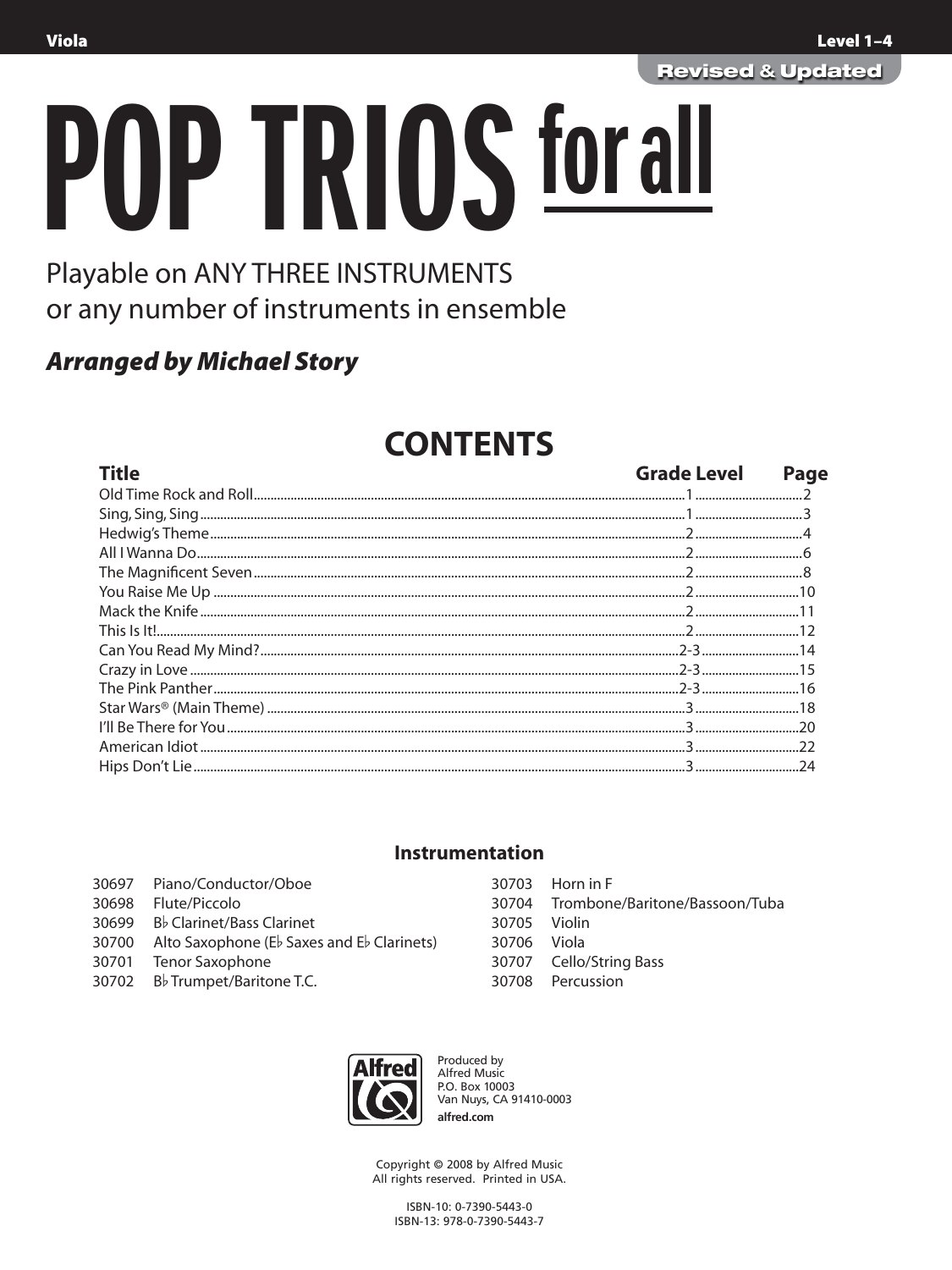**OP TRIOS for all** 

## Playable on ANY THREE INSTRUMENTS or any number of instruments in ensemble

### **Arranged by Michael Story**

# **CONTENTS**

| <b>Title</b>                                                                                                                                                                                                                         | <b>Grade Level</b> | Page |
|--------------------------------------------------------------------------------------------------------------------------------------------------------------------------------------------------------------------------------------|--------------------|------|
|                                                                                                                                                                                                                                      |                    |      |
|                                                                                                                                                                                                                                      |                    |      |
|                                                                                                                                                                                                                                      |                    |      |
|                                                                                                                                                                                                                                      |                    |      |
|                                                                                                                                                                                                                                      |                    |      |
|                                                                                                                                                                                                                                      |                    |      |
|                                                                                                                                                                                                                                      |                    |      |
|                                                                                                                                                                                                                                      |                    |      |
|                                                                                                                                                                                                                                      |                    |      |
|                                                                                                                                                                                                                                      |                    |      |
|                                                                                                                                                                                                                                      |                    |      |
|                                                                                                                                                                                                                                      |                    |      |
| <u>ran and a community with a community of the community of the community of the community of the community of the community of the community of the community of the community of the community of the community of the communi</u> |                    |      |
|                                                                                                                                                                                                                                      |                    |      |
|                                                                                                                                                                                                                                      |                    |      |

#### **Instrumentation**

|       | 30697 Piano/Conductor/Oboe                 |
|-------|--------------------------------------------|
| 30698 | Flute/Piccolo                              |
|       | 30699 Bb Clarinet/Bass Clarinet            |
| 30700 | Alto Saxophone (Eb Saxes and Eb Clarinets) |
| 30701 | <b>Tenor Saxophone</b>                     |
|       | 30702 Bb Trumpet/Baritone T.C.             |

|              | 30703 Horn in F                      |
|--------------|--------------------------------------|
|              | 30704 Trombone/Baritone/Bassoon/Tuba |
| 30705 Violin |                                      |
| 30706 Viola  |                                      |
|              | 30707 Cello/String Bass              |
|              | 30708 Percussion                     |
|              |                                      |



Produced by Alfred Music P.O. Box 10003 Van Nuys, CA 91410-0003 alfred.com

Copyright © 2008 by Alfred Music All rights reserved. Printed in USA.

> ISBN-10: 0-7390-5443-0 ISBN-13: 978-0-7390-5443-7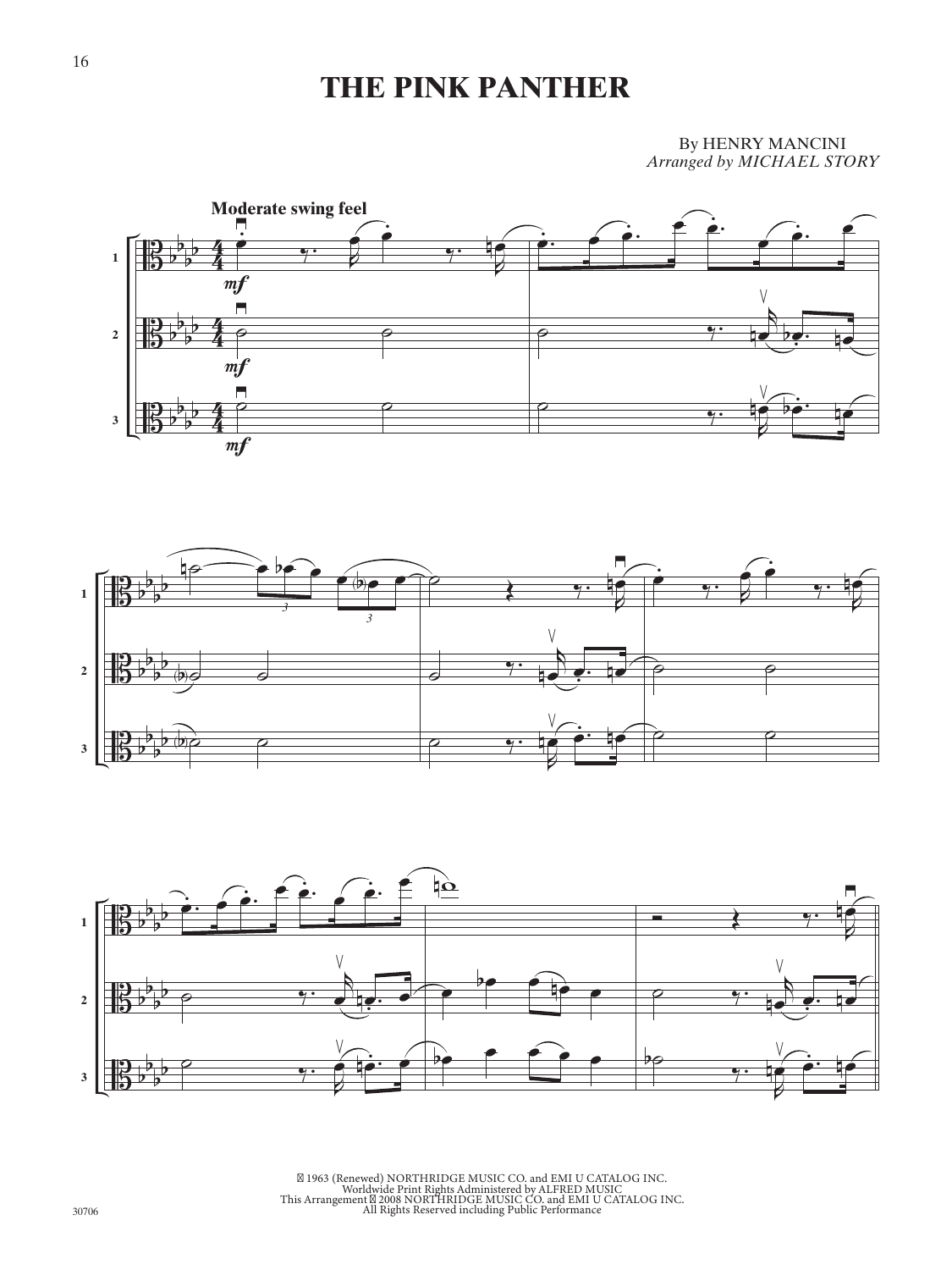## **THE PINK PANTHER**

By HENRY MANCINI *Arranged by MICHAEL STORY*







©1963 (Renewed) NORTHRIDGE MUSIC CO. and EMI U CATALOG INC.<br>Worldwide Print Rights Administered by ALFRED MUSIC<br>This Arrangement ©2008 NORTHRIDGE MUSIC CO. and EMI U CATALOG INC.<br>All Rights Reserved including Public Perfor